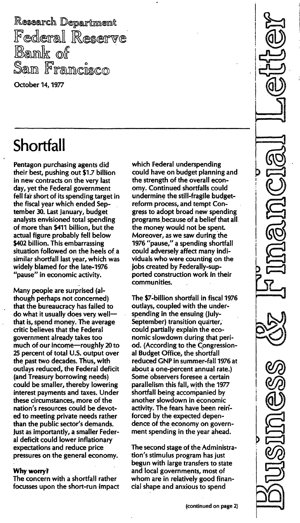Research Department Federal Reserve<br>Bank of San Francisco

October 14, 1977

# **Shortfall**

Pentagon purchasing agents did their best, pushing out \$1.7 billion in new contracts on the very last day, yet the Federal government fell fa'r short of its spending target in the fiscal year which ended September 30. Last January, budget analysts envisioned total spending of more than \$411 billion, but the actual figure probably fell below \$402 billion. This embarrassing situation followed on the heels of a similar shortfall last year, which was widely blamed for the late-1976 "pause" in economic activity.

Many people are surprised (although perhaps not concerned) that the bureaucracy has failed to do what it usually does very wellthat is, spend money. The average critic believes that the Federal government already takes too much of our income-roughly 20 to 25 percent of total U.S. output over the past two decades. Thus, with outlays reduced, the Federal deficit (and Treasury borrowing needs) could be smaller, thereby lowering interest payments and taxes. Under these circumstances, more of the nation's resources could be devoted to meeting private needs rather than the public sector's demands. Just as importantly, a smaller Federal deficit could lower inflationary expectations and reduce price pressures on the general economy.

### Why worry?

The concern with a shortfall rather focusses upon the short-run impact

which Federal underspending could have on budget planning and the strength of the overall economy. Continued shortfalls could undermine the still-fragile budgetreform process, and tempt Congress to adopt broad new spending programs.because of a belief that all the money would not be spent. Moreover, as we saw during the 1976 "pause," a spending shortfall could adversely affect many individuals who were counting on the jobs created by Federally-supported construction work in their communities.

The \$7-billion shortfall in fiscal 1976 outlays, coupled with the underspending in the ensuing (July-September) transition quarter, could partially explain the economic slowdown during that period. (According to the Congressional Budget Office, the shortfall reduced GNP in summer-fall 1976 at about a one-percent annual rate.) Some observers foresee a certain parallelism this fall, with the 1977 shortfall being accompanied by another slowdown in economic activity. The fears have been rein' forced by the expected dependence of the economy on government spending in the year ahead.

The second stage of the Administration's stimulus program has just begun with large transfers to state and local governments, most of whom are in relatively good financial shape and anxious to spend

I I I I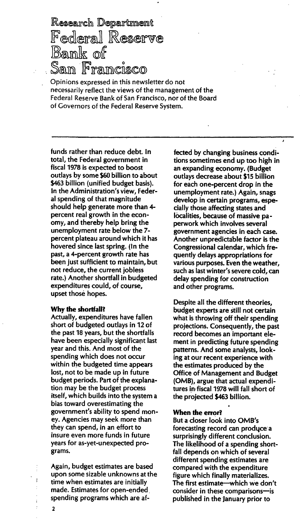Research Department Federal Reserve Bank of Sam Francisco

Opinions expressed in this newsletter do not necessarily reflect the views of the management of the Federal Reserve Bank of San Francisco, nor of the Board of Covernors of the Federal Reserve System.

funds rather than reduce debt. In total, the Federal government in fiscal 1978 is expected to boost outlays by some \$60 billion to about \$463 billion (unified budget basis). In the Administration's view, Federal spending of that magnitude should help generate more than 4 percent real growth in the economy, and thereby help bring the unemployment rate below the 7 percent plateau around which it has hovered since last spring. (In the past, a 4-percent growth rate has been just sufficient to maintain, but not reduce, the current jobless rate.) Another shortfall in budgeted expenditures could, of course, upset those hopes.

#### Why the shortfall?

Actually, expenditures have fallen short of budgeted outlays in 12 of the past 18 years, but the shortfalls have been especially significant last year and this. And most of the spending which does not occur within the budgeted time appears lost, not to be made up in future budget periods. Part of the explanation may be the budget process itself, which builds into the system a bias toward overestimating the government's ability to spend money. Agencies may seek more than they can spend, in an effort to insure even more funds in future years for as-yet-unexpected programs.

Again, budget estimates are based upon some sizable unknowns at the time when estimates are initially made. Estimates for open-ended spending programs which are affected by changing business conditions sometimes end up too high in an expanding economy. (Budget outlays decrease about \$15 billion for each one-percent drop in the unemployment rate.) Again, snags develop in certain programs, especially those affecting states and localities, because of massive paperwork which involves several government agencies in each case. Another unpredictable factor is the Congressional calendar, which frequently delays appropriations for various purposes. Even the weather, such as last winter's severe cold, can delay spending for construction and other programs.

Despite all the different theories, budget experts are still not certain what is throwing off their spending projections. Consequently, the past record becomes an important element in predicting future spending patterns. And some analysts, looking at our recent experience with the estimates produced by the Office of Management and Budget (OMB), argue that actual expenditures in fiscal 1978 will fall short of the projected \$463 billion.

#### When the error?

But a closer look into OMB's forecasting record can produce a surprisingly different conclusion. The likelihood of a spending shortfall depends on which of several different spending estimates are compared with the expenditure figure which finally materializes. The first estimate—which we don't consider in these comparisons-is published in the January prior to

2

ţ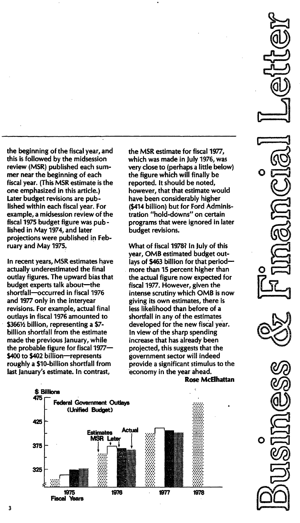the beginning of the fiscal year, and this is followed by the midsession review (MSR) published each summer near the beginning of each fiscal year. (This MSR estimate is the one emphasized in this article.) Later budget revisions are published within each fiscal year. For example, a midsession review of the fiscal 1975 budget figure was published in May 1974, and later projections were published in February and May 1975.

In recent years, MSR estimates have actually underestimated the final outlay figures. The upward bias that budget experts talk about-the shortfall-occurred in fiscal 1976 and 1977 only in the interyear revisions. For example, actual final outlays in fiscal 1976 amounted to \$366½ billion, representing a \$7billion shortfall from the estimate made the previous January, while the probable figure for fiscal 1977-\$400 to \$402 billion-represents roughly a \$10-billion shortfall from last January's estimate. In contrast,

the MSR estimate for fiscal 1977, which was made in July 1976, was very close to (perhaps a little below) the figure which will finally be reported. It should be noted, however, that that estimate would have been considerably higher (\$414 billion) but for Ford Administration "hold-downs" on certain programs that were ignored in later budget revisions.

What of fiscal 1978? In July of this year, OMB estimated budget outlays of \$463 billion for that periodmore than 15 percent higher than the actual figure now expected for fiscal 1977. However, given the intense scrutiny which OMB is now giving its own estimates, there is less likelihood than before of a shortfall in any of the estimates developed for the new fiscal year. In view of the sharp spending increase that has already been projected, this suggests that the government sector will indeed provide a significant stimulus to the economy in the year ahead.